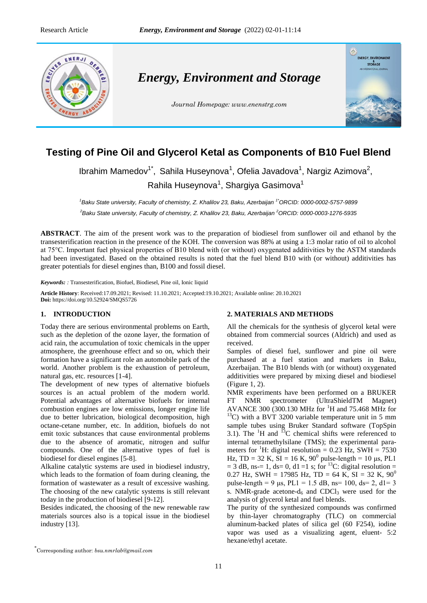

# **Testing of Pine Oil and Glycerol Ketal as Components of B10 Fuel Blend**

Ibrahim Mamedov<sup>1\*</sup>, Sahila Huseynova<sup>1</sup>, Ofelia Javadova<sup>1</sup>, Nargiz Azimova<sup>2</sup>, Rahila Huseynova<sup>1</sup>, Shargiya Gasimova<sup>1</sup>

*<sup>1</sup>Baku State university, Faculty of chemistry, Z. Khalilov 23, Baku, Azerbaijan 1\*ORCID: 0000-0002-5757-9899 <sup>2</sup>Baku State university, Faculty of chemistry, Z. Khalilov 23, Baku, Azerbaijan <sup>2</sup>ORCID[: 0000-0003-1276-5935](https://orcid.org/0000-0003-1276-5935)*

**ABSTRACT**. The aim of the present work was to the preparation of biodiesel from sunflower oil and ethanol by the transesterification reaction in the presence of the KOH. The conversion was 88% at using a 1:3 molar ratio of oil to alcohol at 75°C. Important fuel physical properties of B10 blend with (or without) oxygenated additivities by the ASTM standards had been investigated. Based on the obtained results is noted that the fuel blend B10 with (or without) additivities has greater potentials for diesel engines than, B100 and fossil diesel.

*Keywords: :* Transesterification, Biofuel, Biodiesel, Pine oil, Ionic liquid

**Article History**: Received:17.09.2021; Revised: 11.10.2021; Accepted:19.10.2021; Available online: 20.10.2021 **Doi:** https://doi.org/10.52924/SMQS5726

# **1. INTRODUCTION**

Today there are serious environmental problems on Earth, such as the depletion of the ozone layer, the formation of acid rain, the accumulation of toxic chemicals in the upper atmosphere, the greenhouse effect and so on, which their formation have a significant role an automobile park of the world. Another problem is the exhaustion of petroleum, natural gas, etc. resources [1-4].

The development of new types of alternative biofuels sources is an actual problem of the modern world. Potential advantages of alternative biofuels for internal combustion engines are low emissions, longer engine life due to better lubrication, biological decomposition, high octane-cetane number, etc. In addition, biofuels do not emit toxic substances that cause environmental problems due to the absence of aromatic, nitrogen and sulfur compounds. One of the alternative types of fuel is biodiesel for diesel engines [5-8].

Alkaline catalytic systems are used in biodiesel industry, which leads to the formation of foam during cleaning, the formation of wastewater as a result of excessive washing. The choosing of the new catalytic systems is still relevant today in the production of biodiesel [9-12].

Besides indicated, the choosing of the new renewable raw materials sources also is a topical issue in the biodiesel industry [13].

# **2. MATERIALS AND METHODS**

All the chemicals for the synthesis of glycerol ketal were obtained from commercial sources (Aldrich) and used as received.

Samples of diesel fuel, sunflower and pine oil were purchased at a fuel station and markets in Baku, Azerbaijan. The B10 blends with (or without) oxygenated additivities were prepared by mixing diesel and biodiesel (Figure 1, 2).

NMR experiments have been performed on a BRUKER FT NMR spectrometer (UltraShieldTM Magnet) AVANCE 300 (300.130 MHz for  ${}^{1}$ H and 75.468 MHz for  $13^1$ C) with a BVT 3200 variable temperature unit in 5 mm sample tubes using Bruker Standard software (TopSpin 3.1). The  ${}^{1}$ H and  ${}^{13}$ C chemical shifts were referenced to internal tetramethylsilane (TMS); the experimental parameters for <sup>1</sup>H: digital resolution = 0.23 Hz, SWH = 7530 Hz, TD = 32 K, SI = 16 K,  $90^{\circ}$  pulse-length = 10 μs, PL1  $= 3$  dB, ns- $= 1$ , ds= 0, d1 =1 s; for <sup>13</sup>C: digital resolution = 0.27 Hz, SWH = 17985 Hz, TD = 64 K, SI = 32 K,  $90^{\circ}$ pulse-length = 9 μs,  $PL1 = 1.5$  dB, ns= 100, ds= 2, d1= 3 s. NMR-grade acetone- $d_6$  and CDCl<sub>3</sub> were used for the analysis of glycerol ketal and fuel blends.

The purity of the synthesized compounds was confirmed by thin-layer chromatography (TLC) on commercial aluminum-backed plates of silica gel (60 F254), iodine vapor was used as a visualizing agent, eluent- 5:2 hexane/ethyl acetate.

<sup>\*</sup> Corresponding author: *[bsu.nmrlab@gmail.com](mailto:bsu.nmrlab@gmail.com)*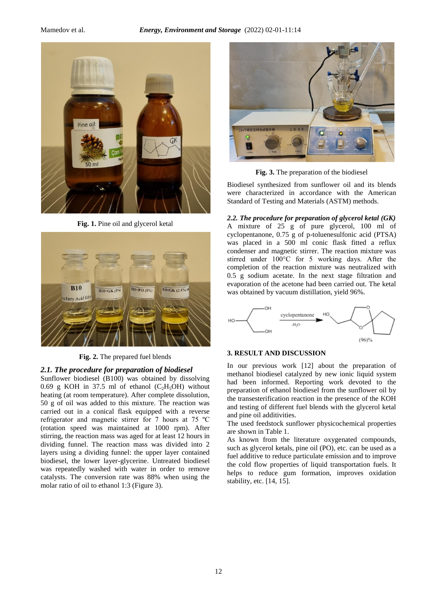

**Fig. 1.** Pine oil and glycerol ketal



**Fig. 2.** The prepared fuel blends

# *2.1. The procedure for preparation of biodiesel*

Sunflower biodiesel (B100) was obtained by dissolving 0.69 g KOH in 37.5 ml of ethanol  $(C_2H_5OH)$  without heating (at room temperature). After complete dissolution, 50 g of oil was added to this mixture. The reaction was carried out in a conical flask equipped with a reverse refrigerator and magnetic stirrer for 7 hours at 75 ºC (rotation speed was maintained at 1000 rpm). After stirring, the reaction mass was aged for at least 12 hours in dividing funnel. The reaction mass was divided into 2 layers using a dividing funnel: the upper layer contained biodiesel, the lower layer-glycerine. Untreated biodiesel was repeatedly washed with water in order to remove catalysts. The conversion rate was 88% when using the molar ratio of oil to ethanol 1:3 (Figure 3).



**Fig. 3.** The preparation of the biodiesel

Biodiesel synthesized from sunflower oil and its blends were characterized in accordance with the American Standard of Testing and Materials (ASTM) methods.

*2.2. The procedure for preparation of glycerol ketal (GK)* A mixture of 25 g of pure glycerol, 100 ml of cyclopentanone, 0.75 g of p-toluenesulfonic acid (PTSA) was placed in a 500 ml conic flask fitted a reflux condenser and magnetic stirrer. The reaction mixture was stirred under 100°C for 5 working days. After the completion of the reaction mixture was neutralized with 0.5 g sodium acetate. In the next stage filtration and evaporation of the acetone had been carried out. The ketal was obtained by vacuum distillation, yield 96%.



### **3. RESULT AND DISCUSSION**

In our previous work [12] about the preparation of methanol biodiesel catalyzed by new ionic liquid system had been informed. Reporting work devoted to the preparation of ethanol biodiesel from the sunflower oil by the transesterification reaction in the presence of the KOH and testing of different fuel blends with the glycerol ketal and pine oil additivities.

The used feedstock sunflower physicochemical properties are shown in Table 1.

As known from the literature oxygenated compounds, such as glycerol ketals, pine oil (PO), etc. can be used as a fuel additive to reduce particulate emission and to improve the cold flow properties of liquid transportation fuels. It helps to reduce gum formation, improves oxidation stability, etc. [14, 15].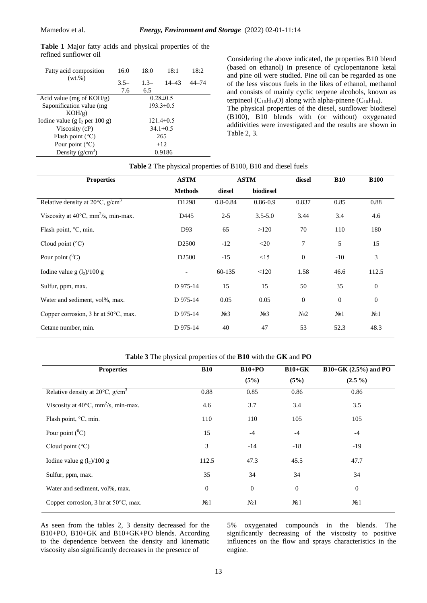| Fatty acid composition<br>$(wt.\%)$       | 16:0            | 18:0   | 18:1      | 18:2      |  |  |
|-------------------------------------------|-----------------|--------|-----------|-----------|--|--|
|                                           | $3.5 -$         | $1.3-$ | $14 - 43$ | $44 - 74$ |  |  |
|                                           | 7.6             | 6.5    |           |           |  |  |
| Acid value (mg of $KOH/g$ )               | $0.28 \pm 0.5$  |        |           |           |  |  |
| Saponification value (mg                  | $193.3 \pm 0.5$ |        |           |           |  |  |
| $KOH/g$ )                                 |                 |        |           |           |  |  |
| Iodine value (g I <sub>2</sub> per 100 g) | $121.4 \pm 0.5$ |        |           |           |  |  |
| Viscosity (cP)                            | $34.1 \pm 0.5$  |        |           |           |  |  |
| Flash point $(^{\circ}C)$                 | 265             |        |           |           |  |  |
| Pour point $(^{\circ}C)$                  | $+12$           |        |           |           |  |  |
| Density $(g/cm^3)$                        | 0.9186          |        |           |           |  |  |

**Table 1** Major fatty acids and physical properties of the refined sunflower oil Considering the above indicated, the properties B10 blend

(based on ethanol) in presence of cyclopentanone ketal and pine oil were studied. Pine oil can be regarded as one of the less viscous fuels in the likes of ethanol, methanol and consists of mainly cyclic terpene alcohols, known as terpineol ( $C_{10}H_{18}O$ ) along with alpha-pinene ( $C_{10}H_{16}$ ).

The physical properties of the diesel, sunflower biodiesel (B100), B10 blends with (or without) oxygenated additivities were investigated and the results are shown in Table 2, 3.

#### **Table 2** The physical properties of B100, B10 and diesel fuels

| <b>Properties</b>                                         | <b>ASTM</b>       | <b>ASTM</b>      |                  | diesel         | <b>B10</b>       | <b>B100</b>      |
|-----------------------------------------------------------|-------------------|------------------|------------------|----------------|------------------|------------------|
|                                                           | <b>Methods</b>    | diesel           | biodiesel        |                |                  |                  |
| Relative density at $20^{\circ}$ C, g/cm <sup>3</sup>     | D1298             | $0.8 - 0.84$     | $0.86 - 0.9$     | 0.837          | 0.85             | 0.88             |
| Viscosity at $40^{\circ}$ C, mm <sup>2</sup> /s, min-max. | D445              | $2 - 5$          | $3.5 - 5.0$      | 3.44           | 3.4              | 4.6              |
| Flash point, $\degree$ C, min.                            | D93               | 65               | >120             | 70             | 110              | 180              |
| Cloud point $(^{\circ}C)$                                 | D <sub>2500</sub> | $-12$            | $20$             | 7              | 5                | 15               |
| Pour point $(^0C)$                                        | D <sub>2500</sub> | $-15$            | $\leq$ 15        | $\mathbf{0}$   | $-10$            | 3                |
| Iodine value g $(l_2)/100$ g                              | $\overline{a}$    | 60-135           | < 120            | 1.58           | 46.6             | 112.5            |
| Sulfur, ppm, max.                                         | D 975-14          | 15               | 15               | 50             | 35               | $\theta$         |
| Water and sediment, vol%, max.                            | D 975-14          | 0.05             | 0.05             | $\mathbf{0}$   | $\mathbf{0}$     | $\theta$         |
| Copper corrosion, $3 \text{ hr}$ at $50^{\circ}$ C, max.  | D 975-14          | N <sub>2</sub> 3 | N <sub>2</sub> 3 | N <sub>2</sub> | N <sub>0</sub> 1 | N <sub>2</sub> 1 |
| Cetane number, min.                                       | D 975-14          | 40               | 47               | 53             | 52.3             | 48.3             |

### **Table 3** The physical properties of the **B10** with the **GK** and **PO**

| <b>Properties</b>                                         | <b>B10</b>       | $B10+PO$         | $B10+GK$         | $B10+GK (2.5%)$ and PO |
|-----------------------------------------------------------|------------------|------------------|------------------|------------------------|
|                                                           |                  | (5%)             | (5%)             | $(2.5\%)$              |
| Relative density at $20^{\circ}$ C, g/cm <sup>3</sup>     | 0.88             | 0.85             | 0.86             | 0.86                   |
| Viscosity at $40^{\circ}$ C, mm <sup>2</sup> /s, min-max. | 4.6              | 3.7              | 3.4              | 3.5                    |
| Flash point, °C, min.                                     | 110              | 110              | 105              | 105                    |
| Pour point $(^0C)$                                        | 15               | $-4$             | $-4$             | $-4$                   |
| Cloud point $(^{\circ}C)$                                 | 3                | $-14$            | $-18$            | $-19$                  |
| Iodine value g $(l_2)/100$ g                              | 112.5            | 47.3             | 45.5             | 47.7                   |
| Sulfur, ppm, max.                                         | 35               | 34               | 34               | 34                     |
| Water and sediment, vol%, max.                            | $\boldsymbol{0}$ | $\mathbf{0}$     | $\boldsymbol{0}$ | $\boldsymbol{0}$       |
| Copper corrosion, 3 hr at $50^{\circ}$ C, max.            | N <sub>2</sub> 1 | N <sub>2</sub> 1 | N <sub>2</sub> 1 | N <sub>0</sub> 1       |

As seen from the tables 2, 3 density decreased for the B10+PO, B10+GK and B10+GK+PO blends. According to the dependence between the density and kinematic viscosity also significantly decreases in the presence of

5% oxygenated compounds in the blends. The significantly decreasing of the viscosity to positive influences on the flow and sprays characteristics in the engine.